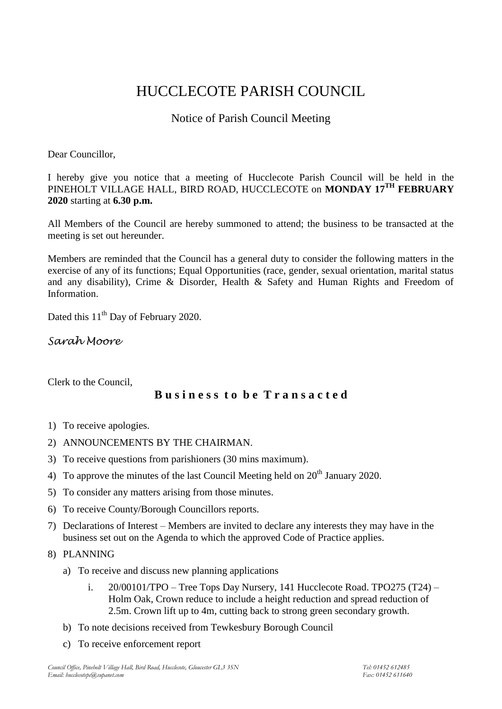# HUCCLECOTE PARISH COUNCIL

## Notice of Parish Council Meeting

Dear Councillor,

I hereby give you notice that a meeting of Hucclecote Parish Council will be held in the PINEHOLT VILLAGE HALL, BIRD ROAD, HUCCLECOTE on **MONDAY 17TH FEBRUARY 2020** starting at **6.30 p.m.**

All Members of the Council are hereby summoned to attend; the business to be transacted at the meeting is set out hereunder.

Members are reminded that the Council has a general duty to consider the following matters in the exercise of any of its functions; Equal Opportunities (race, gender, sexual orientation, marital status and any disability), Crime & Disorder, Health & Safety and Human Rights and Freedom of Information.

Dated this 11<sup>th</sup> Day of February 2020.

*Sarah Moore*

Clerk to the Council,

### **B u s i n e s s t o b e T r a n s a c t e d**

- 1) To receive apologies.
- 2) ANNOUNCEMENTS BY THE CHAIRMAN.
- 3) To receive questions from parishioners (30 mins maximum).
- 4) To approve the minutes of the last Council Meeting held on  $20<sup>th</sup>$  January 2020.
- 5) To consider any matters arising from those minutes.
- 6) To receive County/Borough Councillors reports.
- 7) Declarations of Interest Members are invited to declare any interests they may have in the business set out on the Agenda to which the approved Code of Practice applies.
- 8) PLANNING
	- a) To receive and discuss new planning applications
		- i.  $20/00101/TPO$  Tree Tops Day Nursery, 141 Hucclecote Road. TPO275 (T24) Holm Oak, Crown reduce to include a height reduction and spread reduction of 2.5m. Crown lift up to 4m, cutting back to strong green secondary growth.
	- b) To note decisions received from Tewkesbury Borough Council
	- c) To receive enforcement report